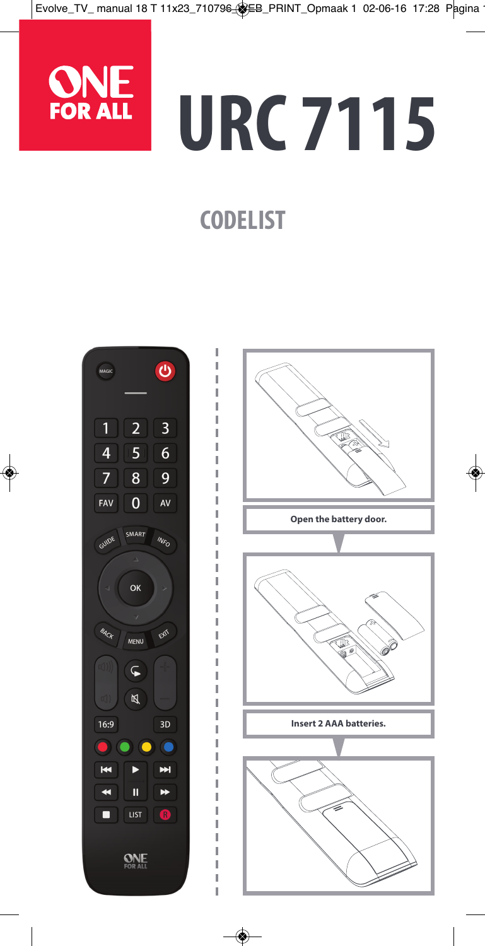

# **URC 7115**

# **CODELIST**



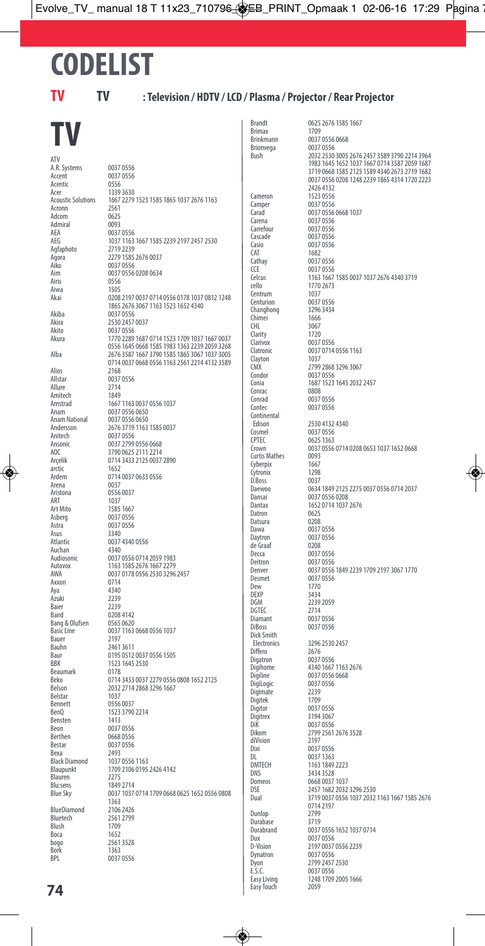# **CODELIST**

### **TV TV : Television / HDTV / LCD / Plasma / Projector / Rear Projector**

# **TV**

ATV A.R. Systems 0037 0556<br>Accent 0037 0556 Acentic 0556<br>Acer 0556<br>Acer 1339.3630 Acoustic Solutions Acronn Admiral<br>AFA AEA 0037 0556<br>AEG 1037 1163 Agfaphoto<br>Agora Aiko 0037 0556<br>Aim 0037 0556 Airis 0556<br>Aiwa 1505 Aiwa 1505 Akiba 0037 0556<br>Akira 2530 2457 Akito 0037 0556<br>Akura 1770 2289 Alios<br>Allsta Allure 2714<br>Amitech 1849 Amitech<br>Amstrad Anitech 0037 0556<br>
Ansonic 0037 2799 arctic 1652<br>Ardem 0714 Belstar 1037<br>Bennett 0556 Bennett 0556 0037<br>BenO 1523 3790 Benster<br>Beon Beon 0037 0556<br>Berthen 0668 0556 Berthen 0668 0556<br>Bestar 0037 0556 Bestar 0037 0556<br>Bexa 2493 Bexa<br>Black Diamond 2493 Blauren<br>Blu:sens Blu:sens 1849 2714<br>Blue Sky 0037 1037 **BlueDiamond** 2106 2426<br> **Bluetech** 2561 2799 Bluetech 2561 2799<br>Blush 1709<br>Boca 1652<br>bogo 2561 3528<br>BPL 0037 0556

Brandt 0625 2676 1585 1667<br>Brimax 1709 Brimax<br>Brinkmann Brionvega<br>Bush Cameron 1523 0556<br>Camper 0037 0556 Camper<br>Carad Carad 0037 0556 0668 1037 Carena 0037 0556<br>Carrefour 0037 0556 Carrefour<br>Carrefour 0037 0556<br>Cascade 0037 0556 Cascade 0037 0556<br>Casio 0037 0556 Casio 0037 0556<br>CAT 1682 CAT 1682<br>Cathav 0037 Cathay 0037 0556<br>CCE 0037 0556 CCE 0037 0556<br>
Celcus 1163 1667 Centrum<br>Centurion Changhong 3296<br>Chimei 1666 Chimei<br>CHI 3067<br>1720 Clarity<br>Clarivov Clarivox 0037 0556<br>Clarivox 0037 0714 Clayton CMX 2799 2868 3296 3067 Condor 0037 0556<br>Conia 1687 1523 Conrac Conrad 0037 0556<br>
Contec 0037 0556 Continental<br>Edison Edison 2530 4132 4340<br>Cosmel 0037 0556 Cosmel 0037 0556<br>
Correction 0635 1363 CPTEC 0625 1363 Curtis Mathes 0093<br>Cybernix 1667 Cyberpix 1667<br>Cytronix 1298 Cytronix 1298<br>D. Ross 0037 Electronics 3296 2530 2457<br>Differo 2676 2676<br>Digihome 4037 0556<br>Digiline 0037 0556 0668<br>Digiline 0037 0556 0668 Digimate 2239<br>Digitek 1709 Digitek<br>Digitor Digitor 0037 0556<br>Digitrex 3194 3067 Digitrex 3194 3067<br>DiK 0037 0556 DiK 0037 0556<br>Dikom 2799 2561 diVision<br>Dixi Dixi 0037 0556<br>DI 0037 1363 DL 0037 1363 DMTECH 1163 1849 2223 DNS 3434 3528<br>Domeos 0668 0037 Domeos 0668 0037 1037 Easy Touch 2059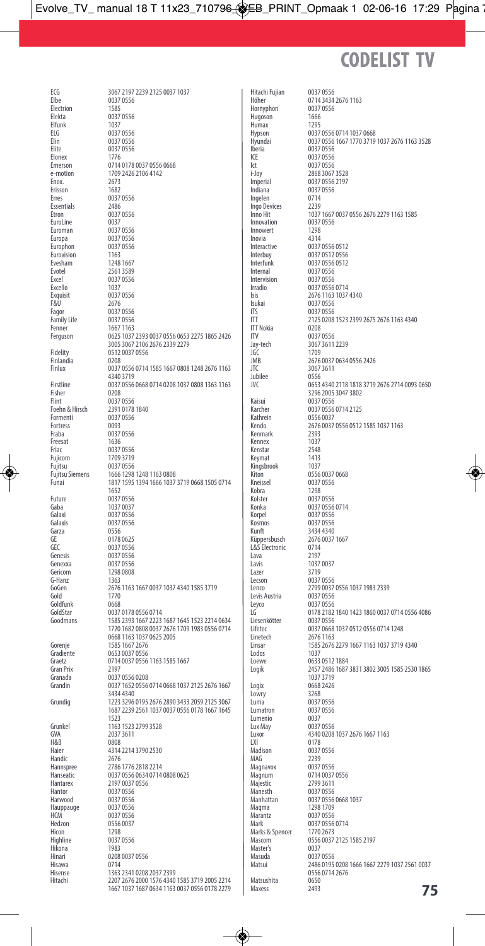# **CODELIST TV**

Electrion<br>Elekta Elfunk<br>FLG ELG 0037 0556<br>ELG 0037 0556<br>Elin 0037 0556 Elin 0037 0556<br>Elin 0037 0556<br>Elite 0037 0556 Elite 0037 0556<br>Elite 0037 0556<br>Elonex 1776 Elonex 1776<br>Emerson 0714 Enox. 2673 Erisson<br>Erres Essentials<br>Etron EuroLine<br>Euromar Euroman 0037 0556<br>Europa 0037 0556 Europa 0037 0556<br>Europhon 0037 0556 Eurovision 1163<br>Evesham 1248 166 Evesham<br>Evotel Evotel 2561 3589 Excello 1037<br>Exquisit 0037.0556 Exquisit<br>F&II F&U 2676 Family Life<br>Fenner Fenner 1667 1163 Finlandia<br>Finlux Fisher 0208<br>Flint 0208 Flint 0037<br>Flint 0037 0556<br>Foebn & Hirsch 2391 0178 Formenti 2551 0176<br>Formenti 0037 0556<br>Fortress 0093 GVA 2037 3611 H&B 0808<br>Haier 4314 naier<br>Handic<br>Hannspree Hantor 2137 0037<br>
Hartor 0037 0556<br>
Hartwood 0037 0556 Hauppauge 0037 0556

Hitachi Fujian 0037 0556 Hornyphon 0037<br>Hugoson 1666 Hugoson 1666<br>Humax 1795 Humax<br>Hypson Iberia 0037 0556 ICE 0037 0556<br>Ict 0037 0556 lct 0037 0556<br>i-Jov 2868 3067 Ingelen 0714<br>Ingo Devices 2239 Ingo Devices<br>Inno Hit Innowert 1298 Inovia<br>Interactive Internal 0037 0556<br>Intervision 0037 0556 Intervision 0037 0556<br>Irradio 0037 0556 Isukai 0037 0556 ITS 0037 0556<br>ITT 2125 0208 ITT Nokia<br>ITV ITV 0037 0556 JGC 1709<br>JGC 1709<br>JMR 2676 Jubilee<br>JVC Kaisui 0037 0556<br>Karcher 0037 0556 2437 2460<br>1037 3719<br>Logix 0668 2426<br>Lowry 3268 Lowry<br>Luma Luma<br>Luma<br>Lumatron 0037 0556 Lumenio<br>Lux May Lux May 0037 0556<br>
Luxor 4340 0208 LXI 0178<br>Madison 0037  $MAG$  2239<br> $M2929$   $M2921056$ mara<br>Magnum Majestic 2799 3611<br>Majestic 2799 3611<br>Manesth 0037 0556 Manesth<br>Manesth 0037 0556<br>Manhattan 0037 0556 Maqma 1298 1709 **Mayers**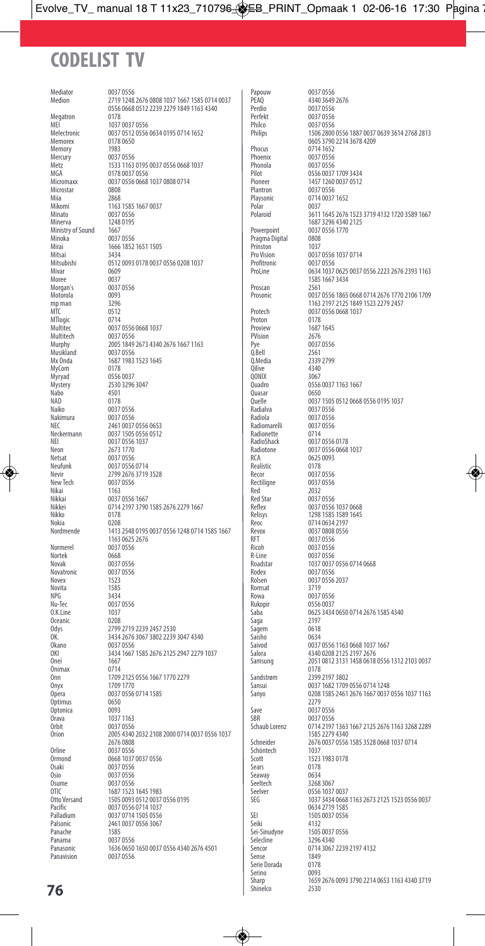# **CODELIST TV**

Mediator 0037 0556<br>Medion 2719 1248 Megatron<br>MFI Memory<br>Mercury Mercury 0037 0556<br>Metz 1533 1163 Microstar<br>Miia Miia 2868<br>Mikomi 1163 Minato 0037 0556<br>Minerva 1248 0195 Ministry of Sound<br>Minoka Minoka 0037 0556<br>Minoka 0037 0556<br>Mirai 1666 1852 Mitsai<br>Mitsubishi Mivar 0609<br>Moree 0037 Moree 0037<br>Moree 0037<br>Morgan's 0037 0556 more<br>Morgan's 0037<br>Motorola 0093 Motorola 0093<br>mn man 3296 mp man<br>MTC mre<br>MTlogic<br>Multitec Multitech 0037 0556<br>Murphy 2005 1849 Musikland<br>Mx Onda MyCom<br>Myryad Myryad 0556 0037<br>Myryad 0556 0037<br>Mystery 2530 3296 Nabo 4501<br>Nabo 4501<br>NAD 0178 NAD 0178<br>Naiko 0037 Naiko 0037 0556 Optimus 0650<br>Optimus 0650 Optonica<br>Orava Orava 1037 1163<br>Orbit 1037 1163 Orbit 0037 0556<br>Orion 2005 4340 Orline 2010 0037<br>0037 0556<br>00668 1037 Osaki 0037 0556<br>Osio 0037 0556 Osio 0037 0556<br>Osume 0037 0556 Osume 0037 0556<br>
OTIC 1687 1523

Papouw 0037 0556<br>PEAO 4340 3649 Perdio 0037 0556<br>Perfekt 0037 0556 Perfekt 0037 0556<br>Perfekt 0037 0556<br>Philco 0037 0556 Philco 0037 0556<br>Philips 1506 2800 Phocus 0714 1652<br>Phoenix 0037 0556 Phoenix 0037 0556<br>Phonola 0037 0556 Phonola 0037 0556 Plantron 0037 0556<br>Playsonic 0714 0037 Polaroid Pragma Digital 0808<br>Prinston 1037 Prinston<br>Pro Vision Profitronic 0037 0556<br>Proline 0634 1037 Proscan<br>Prosonic Protech 0037 0556<br>Proton 0178<br>Proview 1687 1645 Proview 1687<br>PVision 2676 PVision<br>Pye Pye 0037 0556<br>0.Bell 2561 Q.Bell 2561<br>0 Media 2339 Qilive 4340 QONIX<br>Quadro Quasar<br>Ovelle Radialva 0037 0556<br>Radiola 0037 0556 Radiola 0037 0556<br>
Radiomarelli 0037 0556 Save 0037 0556<br>SRR 0037 0556 SBR 0037 0556<br>SBR 0037 0556<br>Schaub Lorenz 0714 2197 Schöntech<br>Scott Sears 0178<br>Seaway 0634 Seaway<br>Seeltech Seeltech 3268 3067<br>Seelver 0556 1037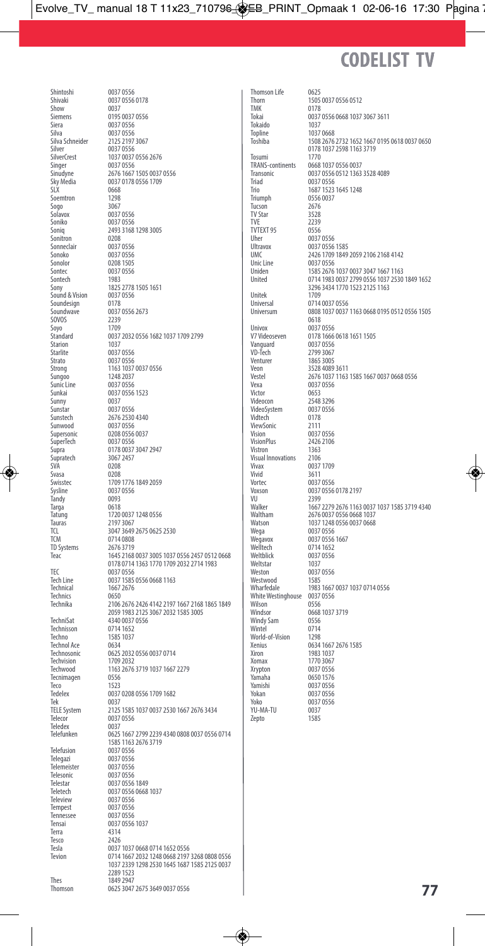## **CODELIST TV**

Shintoshi 0037 0556<br>Shiyaki 0037 0556 Show 0037<br>Show 0037<br>Siemens 0195 Siera 0037 0556<br>Silva 0037 0556 Silva 0037 0556 Silver<br>
SilverCrest
1037 0037 Singer 0037 0556<br>Sinudyne 2676 1667 Soemtron<br>Sogo Sogo 3067<br>Sogo 3067<br>Solavox 0037 Solavox 0037 0556<br>Soniko 0037 0556 Soniko 0037 0556<br>Soniq 2493 3168 Sonitron<br>Sonneclair Sonneclair 0037 0556<br>
Sonoko 0037 0556 Sonoko 0037 0556<br>Sonolor 0208 1505 Sonolor 0208 1505<br>Sontec 0037 0556 Sontech<br>
1983<br>
Sony Sound & Vision 0037<br>Soundesign 0178 Soundesign<br>Soundwave Sounding<br>SOVOS 2239<br>Sovo 1709 Soyo<br>Standard Starion<br>Starlite Starlite 0037 0556<br>Strato 0037 0556 Strato 0037 0556<br>Strong 1163 1037 Sungoo 1248 2037<br>Sungoo 1248 2037<br>Sunic Line 0037 0556 Sunic Line 0037 0556<br>
Sunkai 0037 0556 Sunny<br>Sunstar Sunstar 0037<br>
Sunstar 0037 0556<br>
Sunstech 2676 2530 rek<br>TELE System Teledex<br>Telefunken Telefusion 0037 0556<br>Telegazi 0037 0556 Telegazi 0037 0556<br>Telegazi 0037 0556 Telemeister<br>Telesonic Telesonic 0037 0556<br>Telestar 0037 0556 Teleview 0037 0556<br>Tempest 0037 0556 Tempest 0037 0556<br>Tempest 0037 0556<br>Tennessee 0037 0556

Thomson Life 0625<br>Thorn 1505 Thorn 1505 0037 0556 0512<br>TMK 0178 TMK 0178<br>Tokai 0037 Tokaido<br>Topline Topline 1037<br>
Topline 1037<br>
Toshiba 1508<br>
2676 Tosumi<br>TRANS-continents TRANS-continents 0668 1037 0556 0037<br>Transonic 0037 0556 0512 1363 Triad 0037 0556<br>Trio 1687 1523 Trio 1687 1523 1645 1248<br>Triumph 0556 0037 Tucson 2676<br>TV Star 3528 TV Star<br>TVF 2239<br>0556 TVTEXT 95 Uher 0037 0556<br>Ultravox 0037 0556 Ultravox 0037 0556 1585<br>
IJMC 2426 1709 1849 Unic Line 0037 0556<br>
Uniden 1585 2676 Unitek<br>Ilniversal Universal 0714 0037 0556<br>
Universum 0808 1037 0037 0618 Univox 0037 0556<br>V7 Videoseven 0178 1666 Vanguard<br>VD-Tech VD-Tech 2799 3067 Venturer 1865 3005 Veon 3528 4089 3611<br>Vestel 2676 1037 1163 Vexa 0037 0556<br>Vexa 0037 0556<br>Victor 0653 Victor 0653<br>Videocon 2548 VideoSystem 0037<br>Vidtech 0178 Vidtech 0178<br>ViewSonic 2111 Yokan 0037 0556 YU-MA-TU 0037<br>7ento 1585 zepto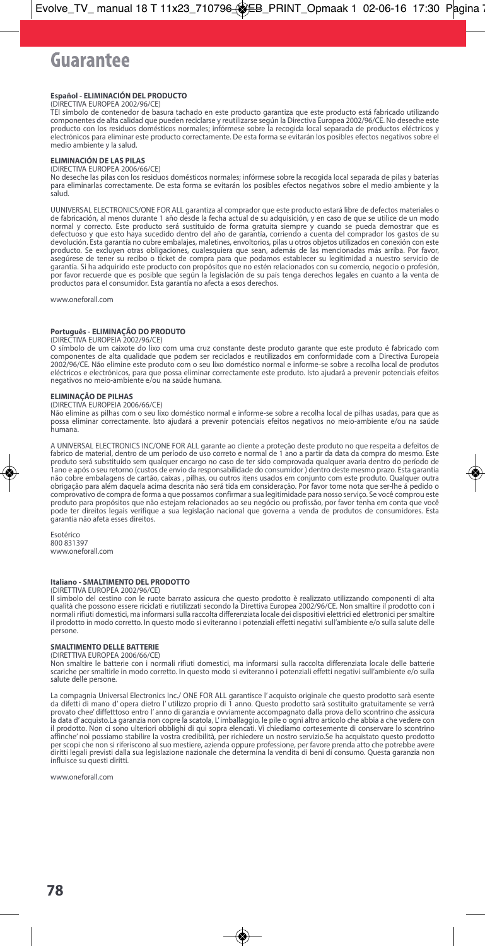# Guarantee

### **Español - ELIMINACIÓN DEL PRODUCTO**

(DIRECTIVA EUROPEA 2002/96/CE)

TEl símbolo de contenedor de basura tachado en este producto garantiza que este producto está fabricado utilizando componentes de alta calidad que pueden reciclarse y reutilizarse según la Directiva Europea 2002/96/CE. No deseche este<br>producto con los residuos domésticos normales; infórmese sobre la recogida local separada de productos electrónicos para eliminar este producto correctamente. De esta forma se evitarán los posibles efectos negativos sobre el medio ambiente y la salud.

### **ELIMINACIÓN DE LAS PILAS**

(DIRECTIVA EUROPEA 2006/66/CE)

No deseche las pilas con los residuos domésticos normales; infórmese sobre la recogida local separada de pilas y baterías para eliminarlas correctamente. De esta forma se evitarán los posibles efectos negativos sobre el medio ambiente y la salud.

UUNIVERSAL ELECTRONICS/ONE FOR ALL garantiza al comprador que este producto estará libre de defectos materiales o de fabricación, al menos durante 1 año desde la fecha actual de su adquisición, y en caso de que se utilice de un modo<br>normal y correcto. Este producto será sustituido de forma gratuita siempre y cuando se pueda demostrar producto. Se excluyen otras obligaciones, cualesquiera que sean, además de las mencionadas más arriba. Por favor<br>asegúrese de tener su recibo o ticket de compra para que podamos establecer su legitimidad a nuestro servicio garantía. Si ha adquirido este producto con propósitos que no estén relacionados con su comercio, negocio o profesión, por favor recuerde que es posible que según la legislación de su país tenga derechos legales en cuanto a la venta de productos para el consumidor. Esta garantía no afecta a esos derechos.

www.oneforall.com

### **Português - ELIMINAÇÃO DO PRODUTO**

(DIRECTIVA EUROPEIA 2002/96/CE)

O símbolo de um caixote do lixo com uma cruz constante deste produto garante que este produto é fabricado com componentes de alta qualidade que podem ser reciclados e reutilizados em conformidade com a Directiva Europeia<br>2002/96/CE. Não elimine este produto com o seu lixo doméstico normal e informe-se sobre a recolha local de prod eléctricos e electrónicos, para que possa eliminar correctamente este produto. Isto ajudará a prevenir potenciais efeitos negativos no meio-ambiente e/ou na saúde humana.

### **ELIMINAÇÃO DE PILHAS**

(DIRECTIVA EUROPEIA 2006/66/CE)

Não elimine as pilhas com o seu lixo doméstico normal e informe-se sobre a recolha local de pilhas usadas, para que as possa eliminar correctamente. Isto ajudará a prevenir potenciais efeitos negativos no meio-ambiente e/ou na saúde humana.

A UNIVERSAL ELECTRONICS INC/ONE FOR ALL garante ao cliente a proteção deste produto no que respeita a defeitos de fabrico de material, dentro de um período de uso correto e normal de 1 ano a partir da data da compra do mesmo. Este produto será substituído sem qualquer encargo no caso de ter sido comprovada qualquer avaria dentro do período de<br>1ano e após o seu retorno (custos de envio da responsabilidade do consumidor ) dentro deste mesmo prazo. Est não cobre embalagens de cartão, caixas , pilhas, ou outros itens usados em conjunto com este produto. Qualquer outra obrigação para além daquela acima descrita não será tida em consideração. Por favor tome nota que ser-lhe á pedido o<br>comprovativo de compra de forma a que possamos confirmar a sua legitimidade para nosso serviço. Se você c produto para propósitos que não estejam relacionados ao seu negócio ou profissão, por favor tenha em conta que você pode ter direitos legais verifique a sua legislação nacional que governa a venda de produtos de consumidores. Esta garantia não afeta esses direitos.

Esotérico 800 831397 www.oneforall.com

### **Italiano - SMALTIMENTO DEL PRODOTTO**

(DIRETTIVA EUROPEA 2002/96/CE)

Il simbolo del cestino con le ruote barrato assicura che questo prodotto è realizzato utilizzando componenti di alta<br>qualità che possono essere riciclati e riutilizzati secondo la Direttiva Europea 2002/96/CE. Non smaltire normali rifiuti domestici, ma informarsisulla raccolta differenziata locale dei dispositivi elettrici ed elettronici persmaltire il prodotto in modo corretto. In questo modo si eviteranno i potenziali effetti negativi sull'ambiente e/o sulla salute delle persone.

### **SMALTIMENTO DELLE BATTERIE**

(DIRETTIVA EUROPEA 2006/66/CE)

Non smaltire le batterie con i normali rifiuti domestici, ma informarsi sulla raccolta differenziata locale delle batterie scariche per smaltirle in modo corretto. In questo modo si eviteranno i potenziali effetti negativi sull'ambiente e/o sulla salute delle persone.

La compagnia Universal Electronics Inc./ ONE FOR ALL garantisce l'acquisto originale che questo prodotto sarà esente<br>da difetti di mano d'opera dietro l'utilizzo proprio di 1 anno. Questo prodotto sarà sostituito gratuitam il prodotto. Non ci sono ulteriori obblighi di qui sopra elencati. Vi chiediamo cortesemente di conservare lo scontrino affinche' noi possiamo stabilire la vostra credibilità, per richiedere un nostro servizio.Se ha acquistato questo prodotto per scopi che non si riferiscono al suo mestiere, azienda oppure professione, per favore prenda atto che potrebbe avere diritti legali previsti dalla sua legislazione nazionale che determina la vendita di beni di consumo. Questa garanzia non influisce su questi diritti.

www.oneforall.com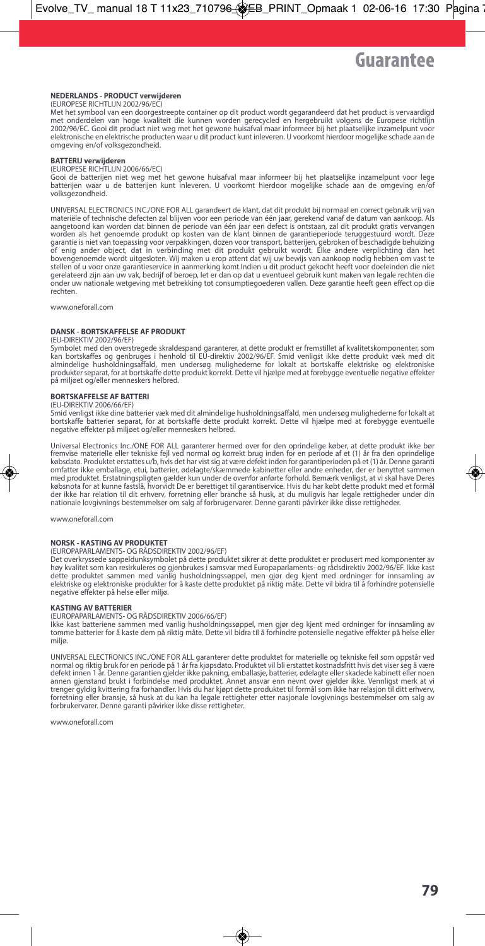### **NEDERLANDS - PRODUCT verwijderen**

(EUROPESE RICHTLIJN 2002/96/EC)

Met het symbool van een doorgestreepte container op dit product wordt gegarandeerd dat het product is vervaardigd met onderdelen van hoge kwaliteit die kunnen worden gerecycled en hergebruikt volgens de Europese richtlijn 2002/96/EC. Gooi dit product niet weg met het gewone huisafval maar informeer bij het plaatselijke inzamelpunt voor elektronische en elektrische producten waar u dit product kunt inleveren. U voorkomt hierdoor mogelijke schade aan de omgeving en/of volksgezondheid.

### **BATTERIJ verwijderen**

(EUROPESE RICHTLIJN 2006/66/EC)

Gooi de batterijen niet weg met het gewone huisafval maar informeer bij het plaatselijke inzamelpunt voor lege batterijen waar u de batterijen kunt inleveren. U voorkomt hierdoor mogelijke schade aan de omgeving en/of volksgezondheid.

UNIVERSAL ELECTRONICS INC./ONE FOR ALL garandeert de klant, dat dit produkt bij normaal en correct gebruik vrij van materiële of technische defecten zal blijven voor een periode van één jaar, gerekend vanaf de datum van aankoop. Als<br>aangetoond kan worden dat binnen de periode van één jaar een defect is ontstaan, zal dit produkt gratis v garantie is niet van toepassing voor verpakkingen, dozen voor transport, batterijen, gebroken of beschadigde behuizing<br>of enig ander object, dat in verbinding met dit produkt gebruikt wordt. Elke andere verplichting dan he gerelateerd zijn aan uw vak, bedrijf of beroep, let er dan op dat u eventueel gebruik kunt maken van legale rechten die onder uw nationale wetgeving met betrekking tot consumptiegoederen vallen. Deze garantie heeft geen effect op die rechten.

www.oneforall.com

### **DANSK - BORTSKAFFELSE AF PRODUKT**

### (EU-DIREKTIV 2002/96/EF)

Symbolet med den overstregede skraldespand garanterer, at dette produkt er fremstillet af kvalitetskomponenter, som<br>kan bortskaffes og genbruges i henhold til EU-direktiv 2002/96/EF. Smid venligst ikke dette produkt væk me på miljøet og/eller menneskers helbred.

### **BORTSKAFFELSE AF BATTERI**

### (EU-DIREKTIV 2006/66/EF)

Smid venligst ikke dine batterier væk med dit almindelige husholdningsaffald, men undersøg mulighederne for lokalt at bortskaffe batterier separat, for at bortskaffe dette produkt korrekt. Dette vil hjælpe med at forebygge eventuelle negative effekter på miljøet og/eller menneskers helbred.

Universal Electronics Inc./ONE FOR ALL garanterer hermed over for den oprindelige køber, at dette produkt ikke bøı<br>fremvise materielle eller tekniske fejl ved normal og korrekt brug inden for en periode af et (1) år fra de købsdato. Produktet erstattes u/b, hvis det har vist sig at være defekt inden for garantiperioden på et (1) år. Denne garant<br>omfatter ikke emballage, etui, batterier, ødelagte/skæmmede kabinetter eller andre enheder, der e med produktet. Erstatningspligten gælder kun under de ovenfor anførte forhold. Bemærk venligst, at vi skal have Deres købsnota for at kunne fastslå, hvorvidt De er berettiget til garantiservice. Hvis du har købt dette produkt med et formå<br>der ikke har relation til dit erhverv, forretning eller branche så husk, at du muligvis har legale re

www.oneforall.com

### **NORSK - KASTING AV PRODUKTET**

### (EUROPAPARLAMENTS- OG RÅDSDIREKTIV 2002/96/EF)

Det overkryssede søppeldunksymbolet på dette produktet sikrer at dette produktet er produsert med komponenter av høy kvalitet som kan resirkuleres og gjenbrukes i samsvar med Europaparlaments- og rådsdirektiv 2002/96/EF. Ikke kast<br>dette produktet sammen med vanlig husholdningssøppel, men gjør deg kjent med ordninger for

### **KASTING AV BATTERIER**

(EUROPAPARLAMENTS- OG RÅDSDIREKTIV 2006/66/EF)

Ikke kast batteriene sammen med vanlig husholdningssøppel, men gjør deg kjent med ordninger for innsamling av<br>tomme batterier for å kaste dem på riktig måte. Dette vil bidra til å forhindre potensielle negative effekter på miljø.

UNIVERSAL ELECTRONICS INC./ONE FOR ALL garanterer dette produktet for materielle og tekniske feil som oppstår ved normal og riktig bruk for en periode på 1 år fra kjøpsdato. Produktet vil bli erstattet kostnadsfritt hvis det viser seg å være defekt innen 1 år. Denne garantien gjelder ikke pakning, emballasje, batterier, ødelagte eller skadede kabinett eller noen annen gjenstand brukt i forbindelse med produktet. Annet ansvar enn nevnt over gjelder ikke. Vennligst merk at vi trenger gyldig kvittering fra forhandler. Hvis du har kjøpt dette produktet til formål som ikke har relasjon til ditt erhverv, forretning eller bransje, så husk at du kan ha legale rettigheter etter nasjonale lovgivnings bestemmelser om salg av forbrukervarer. Denne garanti påvirker ikke disse rettigheter.

www.oneforall.com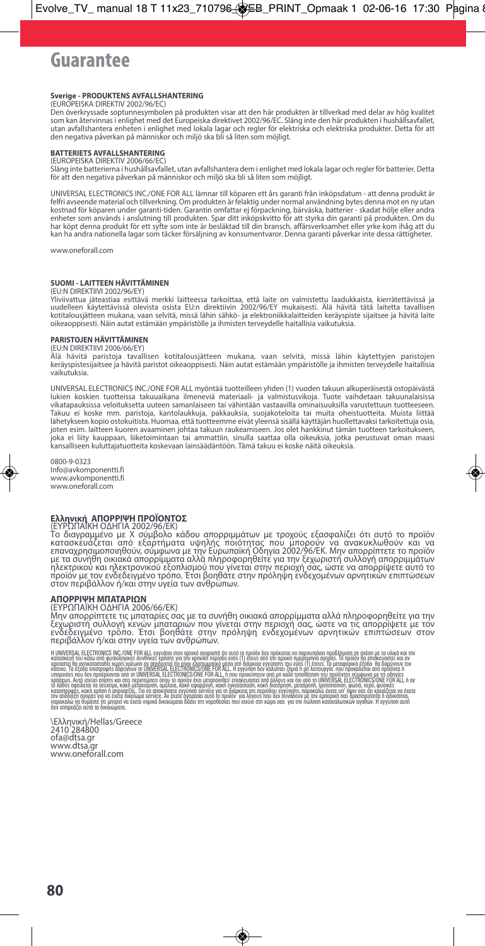# Guarantee

### **Sverige - PRODUKTENS AVFALLSHANTERING**

(EUROPEISKA DIREKTIV 2002/96/EC)<br>Den överkryssade soptunnesymbolen på produkten visar att den här produkten är tillverkad med delar av hög kvalite<br>som kan återvinnas i enlighet med det Europeiska direktivet 2002/96/EC. Slä utan avfallshantera enheten i enlighet med lokala lagar och regler för elektriska och elektriska produkter. Detta för att<br>den negativa påverkan på människor och miljö ska bli så liten som möjligt.

### **BATTERIETS AVFALLSHANTERING**

(EUROPEISKADIREKTIV2006/66/EC)

Slängintebatteriernaihushållsavfallet,utanavfallshanterademienlighetmedlokalalagarochreglerförbatterier.Detta för att den negativa påverkan på människor och miljö ska bli så liten som möjligt.

UNIVERSAL ELECTRONICS INC./ONE FOR ALL lämnar till köparen ett års garanti från inköpsdatum - att denna produkt är felfriavseendematerialochtillverkning.Omproduktenärfelaktigundernormalanvändningbytesdennamotennyutan kostnad för köparen under garanti-tiden. Garantin omfattar ej förpackning, bärväska, batterier - skadat hölje eller andra<br>enheter som används i anslutning till produkten. Spar ditt inköpskvitto för att styrka din garanti p harköptdennaproduktförettsyftesominteärbesläktadtilldinbransch,affärsverksamhetelleryrkekomihågattdu kanhaandranationellalagarsomtäckerförsäljningavkonsumentvaror.Dennagarantipåverkarintedessarättigheter.

www.oneforall.com

### **SUOMI - LAITTEEN HÄVITTÄMINEN**

### (EU:N DIREKTIIVI 2002/96/EY)

Yliviivattua jäteastiaa esittävä merkki laitteessa tarkoittaa, että laite on valmistettu laadukkaista, kierrätettävissä ja<br>uudelleen käytettävissä olevista osista EU:n direktiivin 2002/96/EY mukaisesti. Älä hävitä tätä lai oikeaoppisesti. Näin autat estämään ympäristölle ja ihmisten terveydelle haitallisia vaikutuksia.

### **PARISTOJEN HÄVITTÄMINEN** (EU:N DIREKTIIVI 2006/66/EY)

Älä hävitä paristoja tavallisen kotitalousjätteen mukana, vaan selvitä, missä lähin käytettyjen paristojen keräyspistesijaitseejahävitäparistotoikeaoppisesti.Näinautatestämäänympäristöllejaihmistenterveydellehaitallisia vaikutuksia.

UNIVERSAL ELECTRONICS INC./ONE FOR ALL myöntää tuotteilleen yhden (1) vuoden takuun alkuperäisestä ostopäivästä lukien koskien tuotteissa takuuaikana ilmeneviä materiaali- ja valmistusvikoja. Tuote vaihdetaan takuunalaisiss<br>vikatapauksissa veloituksetta uuteen samanlaiseen tai vähintään vastaavilla ominaisuuksilla varustettuun tuott Takuu ei koske mm. paristoja, kantolaukkuja, pakkauksia, suojakoteloita tai muita oheistuotteita. Muista liittää lähetykseenkopioostokuitista.Huomaa,ettätuotteemmeeivätyleensäsisälläkäyttäjänhuollettavaksitarkoitettujaosia, joten esim. laitteen kuoren avaaminen johtaa takuun raukeamiseen. Jos olet hankkinut tämän tuotteen tarkoitukseen, joka ei liity kauppaan, liiketoimintaan tai ammattiin, sinulla saattaa olla oikeuksia, jotka perustuvat oman maasi kansalliseenkuluttajatuotteitakoskevaanlainsäädäntöön.Tämätakuueikoskenäitäoikeuksia.

0800-9-0323 Info@avkomponentti.fi www.avkomponentti.fi www.oneforall.com

**Ελληνική ΑΠΟΡΡΙΨΗ ΠΡΟΙΟΝΤΟΣ**<br>(ΕΥΡΩΠΑΙΚΗ ΟΔΗΓΙΑ 2002/96/ΕΚ)<br>Το διαγραμμένο με Χ σύμβολο κάδου απορριμμάτων με τροχούς εξασφαλίζει ότι αυτό το προϊόν<br>επαναχρησιμοποιηθούν, σύμφωνα με την Ευρωπαϊκή Οδηγία 2002/96/ΕΚ. Μην απ

### **ΑΠΟΡΡΙΨΗ ΜΠΑΤΑΡΙΩΝ**

### (ΕΥΡΩΠΑΪΚΗΟΔΗΓΙΑ2006/66/ΕΚ)

Μην απορρίπτετε τις μπαταρίες σας με τα συνήθη οικιακά απορρίμματα αλλά πληροφορηθείτε για την<br>ξεχωριστή συλλογή κενών μπαταριών που γίνεται στην περιοχή σας, ώστε να τις απορρίψετε με τον<br>ενδεδειγμένο τρόπο. Έτσι βοηθάτε

Η UNIVERSAL ELECTRONICS INCLONE FOR ALL syngtan στον αρκοκοπό ότι απροϊόν δεν πρόκειαν απορουσίσει προβλήματα σε ανέσχεται που πολύ και τον πρωτού του προσωπικού που την προσωπικού του προσωπικού του προσωπικού του προσωπ ιά λάθος οφείλεση σε αύσημα, κατά μείχευριση αμέλια εφαρμούν παιά χρατάσταση, κακή διατάρηση που του προσώπου σ<br>καταστροφές καια χρήσια προσέζα, Για να αποκτισετε αγγυποι είναι το παρκού προσφαλισμένου με πιο προσωποιου π

\Ελληνική/Hellas/Greece 2410284800 ofa@dtsa.gr www.dtsa.gr www.oneforall.com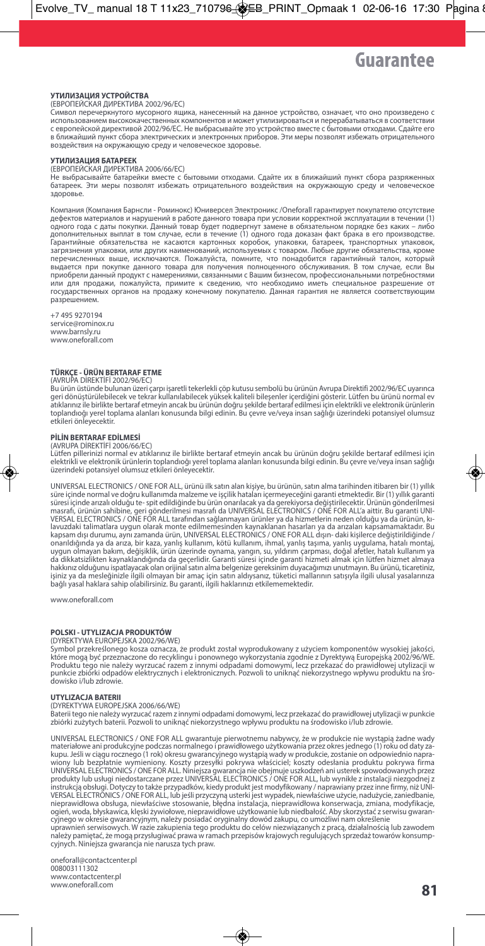### **УТИЛИЗАЦИЯ УСТРОЙСТВА**

### (ЕВРОПЕЙСКАЯ ДИРЕКТИВА 2002/96/EC)

Символ перечеркнутого мусорного ящика, нанесенный на данное устройство, означает, что оно произведено с использованием высококачественных компонентов и может утилизироваться и перерабатываться в соответствии с европейской директивой 2002/96/EC. Не выбрасывайте это устройство вместе с бытовыми отходами. Сдайте его в ближайший пункт сбора электрических и электронных приборов. Эти меры позволят избежать отрицательного воздействия на окружающую среду и человеческое здоровье.

### **УТИЛИЗАЦИЯ БАТАРЕЕК**

(ЕВРОПЕЙСКАЯ ДИРЕКТИВА 2006/66/EC)

Не выбрасывайте батарейки вместе с бытовыми отходами. Сдайте их в ближайший пункт сбора разряженных батареек. Эти меры позволят избежать отрицательного воздействия на окружающую среду и человеческое здоровье.

Компания (Компания Барнсли - Роминокс) Юниверсел Электроникс /Oneforall гарантирует покупателю отсутствие дефектов материалов и нарушений в работе данного товара при условии корректной эксплуатации в течении (1)<br>одного года с даты покупки. Данный товар будет подвергнут замене в обязательном порядке без каких – либс дополнительных выплат в том случае, если в течение (1) одного года доказан факт брака в его производстве. Гарантийные обязательства не касаются картонных коробок, упаковки, батареек, транспортных упаковок,<br>загрязнения упаковки, или других наименований, используемых с товаром. Любые другие обязательства, кроме<br>перечисленных вы приобрели данный продукт с намерениями, связанными с Вашим бизнесом, профессиональными потребностями или для продажи, пожалуйста, примите к сведению, что необходимо иметь специальное разрешение от государственных органов на продажу конечному покупателю. Данная гарантия не является соответствующим разрешением.

+7 495 9270194 service@rominox.ru www.barnsly.ru www.oneforall.com

### **TÜRKÇE - ÜRÜN BERTARAF ETME**

(AVRUPA DİREKTİFİ 2002/96/EC)

Bu ürün üstünde bulunan üzeri çarpı işaretli tekerlekli çöp kutusu sembolü bu ürünün Avrupa Direktifi 2002/96/EC uyarınca geri dönüştürülebilecek ve tekrar kullanılabilecek yüksek kaliteli bileşenler içerdiğini gösterir. Lütfen bu ürünü normal ev<br>atıklarınız ile birlikte bertaraf etmeyin ancak bu ürünün doğru şekilde bertaraf edilmesi için el toplandıoğı yerel toplama alanları konusunda bilgi edinin. Bu çevre ve/veya insan sağlığı üzerindeki potansiyel olumsuz etkileri önleyecektir.

### **PİLİN BERTARAF EDİLMESİ**

(AVRUPA DİREKTİFİ 2006/66/EC) Lütfen pillerinizi normal ev atıklarınız ile birlikte bertaraf etmeyin ancak bu ürünün doğru şekilde bertaraf edilmesi için elektrikli ve elektronik ürünlerin toplandıoğı yerel toplama alanları konusunda bilgi edinin. Bu çevre ve/veya insan sağlığı üzerindeki potansiyel olumsuz etkileri önleyecektir.

UNIVERSAL ELECTRONICS / ONE FOR ALL, ürünü ilk satın alan kişiye, bu ürünün, satın almat tarihinden itibaren bir (1) yıllık garant<br>süre içinde narralı ve doğru kullanımda malzeme ve işçilik hataları içemeyeceğini garanti e lavuzdaki talimatlara uygun olarak monte edilmemesinden kaynaklanan hasarları ya da arızaları kapsamamaktadır. Bu<br>kapsam dışı durumu, aynı zamanda ürün, UNIVERSAL ELECTRONICS / ONE FOR ALL dışın- daki kişilerce değiştirild işiniz ya da mesleğinizle ilgili olmayan bir amaç için satın aldıysanız, tüketici mallarının satışıyla ilgili ulusal yasalarınıza bağlı yasal haklara sahip olabilirsiniz. Bu garanti, ilgili haklarınızı etkilememektedir.

www.oneforall.com

### **POLSKI - UTYLIZACJA PRODUKTÓW**

(DYREKTYWA EUROPEJSKA 2002/96/WE)

Symbol przekreślonego kosza oznacza, że produkt został wyprodukowany z użyciem komponentów wysokiej jakości, które mogą być przeznaczone do recyklingu i ponownego wykorzystania zgodnie z Dyrektywą Europejską 2002/96/WE. Produktu tego nie należy wyrzucać razem z innymi odpadami domowymi, lecz przekazać do prawidłowej utylizacji w punkcie zbiórki odpadów elektrycznych i elektronicznych. Pozwoli to uniknąć niekorzystnego wpływu produktu na środowisko i/lub zdrowie.

### **UTYLIZACJA BATERII**

(DYREKTYWA EUROPEJSKA 2006/66/WE)

Baterii tego nie należy wyrzucać razem z innymi odpadami domowymi, lecz przekazać do prawidłowej utylizacji w punkcie<br>zbiórki zużytych baterii. Pozwoli to uniknąć niekorzystnego wpływu produktu na środowisko i/lub zdrowie.

UNIVERSAL ELECTRONICS / ONE FOR ALL gwarantuje pierwotnemu nabywcy, że w produkcie nie wystąpią żadne wady materiałowe ani produkcyjne podczas normalnego i prawidłowego użytkowania przez okresjednego (1) roku od daty zakupu. Jeśli w ciągu rocznego (1 rok) okresu gwarancyjnego wystąpią wady w produkcie, zostanie on odpowiednio napra<br>wiony 1ub bezpłatnie wymieniony. Koszty przesyłki pokrywa właścicieł, koszty odesłania produktu pokrywa fir instrukcją obsługi. Dotyczy to także przypadków, kiedy produkt jest modyfikowany / naprawiany przez inne firmy, niż UNI·<br>VERSAL ELECTRONICS / ONE FOR ALL, lub jeśli przyczyną usterki jest wypadek, niewłaściwe użycie, naduż ogień, woda, błyskawica, klęski żywiołowe, nieprawidłowe użytkowanie lub niedbałość. Aby skorzystać z serwisu gwaran cyjnego w okresie gwarancyjnym, należy posiadać oryginalny dowód zakupu, co umożliwi nam określenie<br>uprawnień serwisowych. W razie zakupienia tego produktu do celów niezwiązanych z pracą, działalnością lub zawodem<br>należy p

cyjnych. Niniejsza gwarancja nie narusza tych praw.

oneforall@contactcenter.pl 008003111302 www.contactcenter.pl www.oneforall.com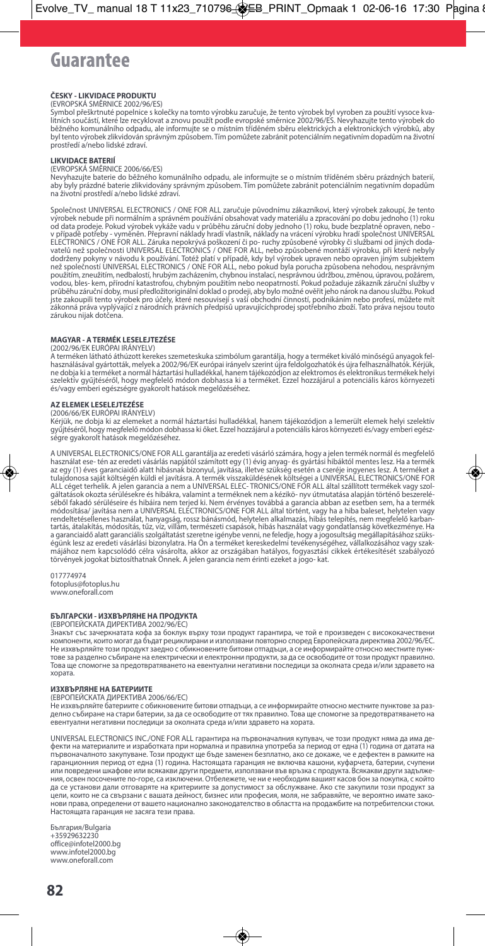# Guarantee

### **ČESKY - LIKVIDACE PRODUKTU**

(EVROPSKÁ SMERNICE 2002/96/ES)<br>Symbol přeškrtnuté popelnice s kolečky na tomto výrobku zaručuje, že tento výrobek byl vyroben za použití vysoce kva<br>litních součástí, které lze recyklovat a znovu použít podle evropské směrn běžného komunálního odpadu, ale informujte se o místním tříděném sběru elektrických a elektronických výrobků, aby byl tento výrobek zlikvidován správným způsobem. Tím pomůžete zabránit potenciálním negativním dopadům na životní prostředí a/nebo lidské zdraví.

### **LIKVIDACE BATERIÍ**

### (EVROPSKÁ SMĚRNICE 2006/66/ES)

Nevyhazujte baterie do běžného komunálního odpadu, ale informujte se o místním tříděném sběru prázdných baterií, aby byly prázdné baterie zlikvidovány správným způsobem. Tím pomůžete zabránit potenciálním negativním dopadům na životní prostředí a/nebo lidské zdraví.

Společnost UNIVERSAL ELECTRONICS / ONE FOR ALL zaručuje původnímu zákazníkovi, který výrobek zakoupí, že tento<br>výrobek nebude při normálním a správném používání obsahovat vady materiálu a zpracování po dobu jednoho (1) rok použitím, zneužitím, nedbalostí, hrubým zacházením, chybnou instalací, nesprávnou údržbou, změnou, úpravou, požárem, vodou, bles- kem, přírodní katastrofou, chybným použitím nebo neopatrností. Pokud požaduje zákazník záruční služby v průběhu záruční doby, musí předložitoriginální doklad o prodeji, aby bylo možné ověřit jeho nárok na danou službu. Pokud<br>jste zakoupili tento výrobek pro účely, které nesouvisejí s vaší obchodní činností, podnikáním nebo p zákonná práva vyplývající z národních právních předpisů upravujícíchprodej spotřebního zboží. Tato práva nejsou touto zárukou nijak dotčena.

### **MAGYAR - ATERMÉK LESELEJTEZÉSE**

(2002/96/EK EURÓPAI IRÁNYELV)

A terméken látható áthúzott kerekes szemeteskuka szimbólum garantálja, hogy a terméket kiváló minőségű anyagok fel<br>használásával gyártották, melyek a 2002/96/EK európai irányelv szerint újra feldolgozhatók és újra felhaszn ne dobja ki a terméket a normál háztartási hulladékkal, hanem tájékozódjon az elektromos és elektronikustermékek helyi szelektív gyűjtéséről, hogy megfelelő módon dobhassa ki a terméket. Ezzel hozzájárul a potenciális káros környezeti és/vagy emberi egészségre gyakorolt hatások megelőzéséhez.

### **AZ ELEMEK LESELEJTEZÉSE**

### (2006/66/EK EURÓPAI IRÁNYELV)

Kérjük, ne dobja ki az elemeket a normál háztartási hulladékkal, hanem tájékozódjon a lemerült elemek helyi szelektív gyűjtéséről, hogy megfelelő módon dobhassa ki őket. Ezzel hozzájárul a potenciális káros környezeti és/vagy emberi egészségre gyakorolt hatások megelőzéséhez.

A UNIVERSAL ELECTRONICS/ONE FOR ALL garantálja az eredeti vásárló számára, hogy a jelen termék normál és megfelelő<br>használat ese- tén az eredeti vásárlás napjától számított egy (1) évig anyag- és gyártási hibáktól mentes l ALL céget terhelik. A jelen garancia a nem a UNIVERSAL ELEC-TRONICS/ONE FOR ALL által szállított termékek vagy szol<br>gáltatások okozta sérülésekre és hibákra, valamint a terméknek nem a kézikö- nyv útmutatása alapján történ séből fakadó sérüléseire és hibáira nem terjed ki. Nem érvényes továbbá a garancia abban az esetben sem, ha a termék módosítása/ javítása nem a UNIVERSAL ELECTRONICS/ONE FOR ALL által történt, vagy ha a hiba baleset, helytelen vagy rendeltetésellenes használat, hanyagság, rossz bánásmód, helytelen alkalmazás, hibás telepítés, nem megfelelő karbantartás, átalakítás, módosítás, tűz, víz, villám, természeti csapások, hibás használat vagy gondatlanság következménye. Ha<br>a garanciaidő alatt garanciális szolgáltatást szeretne igénybe venni, ne feledje, hogy a jogosultság égünk lesz az eredeti vásárlási bizonylatra. Ha Ön a terméket kereskedelmi tevékenységéhez, vállalkozásához vagy szakmájához nem kapcsolódó célra vásárolta, akkor az országában hatályos, fogyasztási cikkek értékesítését szabályozó<br>törvények jogokat biztosíthatnak Önnek. A jelen garancia nem érinti ezeket a jogo- kat.

017774974 fotoplus@fotoplus.hu www.oneforall.com

### **БЪЛГАРСКИ - ИЗХВЪРЛЯНЕ НА ПРОДУКТА**

### (ЕВРОПЕЙСКАТА ДИРЕКТИВА 2002/96/EC)

знакът със зачеркнатата кофа за боклук върху този продукт гарантира, че той е произведен с висококач компоненти, които могат да бъдат рециклирани и използвани повторно според Европейската директива 2002/96/EC. Не изхвърляйте този продукт заедно с обикновените битови отпадъци, а се информирайте относно местните пунктове за разделно събиране на електрически и електронни продукти, за да се освободите от този продукт правилно. Това ще спомогне за предотвратяването на евентуални негативни последици за околната среда и/или здравето на хората.

### **ИЗХВЪРЛЯНЕ НА БАТЕРИИТЕ**

### (ЕВРОПЕЙСКАТА ДИРЕКТИВА 2006/66/EC)

Не изхвърляйте батериите с обикновените битови отпадъци, а се информирайте относно местните пунктове за разделно събиране на стари батерии, за да се освободите от тях правилно. Това ще спомогне за предотвратяването на евентуални негативни последици за околната среда и/или здравето на хората.

UNIVERSAL ELECTRONICS INC./ONE FOR ALL гарантира на първоначалния купувач, че този продукт няма да има дефекти на материалите и изработката при нормална и правилна употреба за период от една (1) година от датата на първоначалното закупуване. Този продукт ще бъде заменен безплатно, ако се докаже, че е дефектен в рамките на гаранционния период от една (1) година. Настоящата гаранция не включва кашони, куфарчета, батерии, счупени или повредени шкафове или всякакви други предмети, използвани във връзка с продукта. Всякакви други задължения, освен посочените по-горе, са изключени. Отбележете, че ни е необходим вашият касов бон за покупка, с който да се установи дали отговаряте на критериите за допустимост за обслужване. Ако сте закупили този продукт за цели, които не са свързани с вашата дейност, бизнес или професия, моля, не забравяйте, че вероятно имате законови права, определени от вашето национално законодателство в областта на продажбите на потребителски стоки. Настоящата гаранция не засяга тези права.

България/Bulgaria +35929632230 office@infotel2000.bg www.infotel2000.bg www.oneforall.com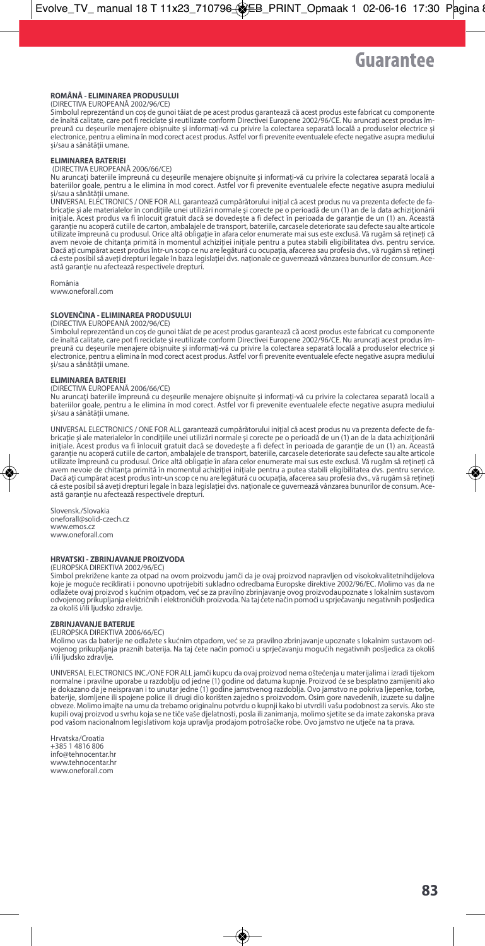### **ROMÂNĂ - ELIMINAREA PRODUSULUI**

(DIRECTIVA EUROPEANĂ 2002/96/CE)

Simbolul reprezentând un coş de gunoi tăiat de pe acest produs garantează că acest produs este fabricat cu componente de înaltă calitate, care pot fi reciclate şi reutilizate conform Directivei Europene 2002/96/CE. Nu aruncaţi acest produs împreună cu deşeurile menajere obişnuite şi informaţi-vă cu privire la colectarea separată locală a produselor electrice şi electronice, pentru a elimina în mod corect acest produs. Astfel vor fi prevenite eventualele efecte negative asupra mediului siestromee, perma a silim

### **ELIMINAREA BATERIEI**

(DIRECTIVA EUROPEANĂ 2006/66/CE)

Nu aruncaţi bateriile împreună cu deşeurile menajere obişnuite şi informaţi-vă cu privire la colectarea separată locală a bateriilor goale, pentru a le elimina în mod corect. Astfel vor fi prevenite eventualele efecte negative asupra mediului sănătății umane.<br>si/sau a sănătății umane.

UNIVERSAL ELECTRONICS / ONE FOR ALL garantează cumpărătorului iniţial că acest produs nu va prezenta defecte de fabricaţie şi ale materialelor în condiţiile unei utilizări normale şi corecte pe o perioadă de un (1) an de la data achiziţionării iniţiale. Acest produs va fi înlocuit gratuit dacă se dovedeşte a fi defect în perioada de garanţie de un (1) an. Această garanţie nu acoperă cutiile de carton, ambalajele de transport, bateriile, carcasele deteriorate sau defecte sau alte articole utilizate împreună cu produsul. Orice altă obligaţie în afara celor enumerate mai sus este exclusă. Vă rugăm să reţineţi că avem nevoie de chitanța primită în momentul achiziției inițiale pentru a putea stabili eligibilitatea dvs. pentru service. Dacă aţi cumpărat acest produsîntr-un scop ce nu are legătură cu ocupaţia, afacerea sau profesia dvs., vă rugăm să reţineţi că este posibilsă aveţi drepturi legale în baza legislaţiei dvs. naţionale ce guvernează vânzarea bunurilor de consum. Această garanţie nu afectează respectivele drepturi.

România www.oneforall.com

### **SLOVENČINA - ELIMINAREA PRODUSULUI**

(DIRECTIVA EUROPEANĂ 2002/96/CE)

Simbolul reprezentând un coş de gunoi tăiat de pe acest produs garantează că acest produs este fabricat cu componente de înaltă calitate, care pot fi reciclate şi reutilizate conform Directivei Europene 2002/96/CE. Nu aruncaţi acest produs împreună cu deşeurile menajere obişnuite şi informaţi-vă cu privire la colectarea separată locală a produselor electrice şi electronice, pentru a elimina în mod corect acest produs. Astfel vor fi prevenite eventualele efecte negative asupra mediului<br>și/sau a sănătății umane.

### **ELIMINAREA BATERIEI**

(DIRECTIVA EUROPEANĂ 2006/66/CE)

Nu aruncaţi bateriile împreună cu deşeurile menajere obişnuite şi informaţi-vă cu privire la colectarea separată locală a bateriilor goale, pentru a le elimina în mod corect. Astfel vor fi prevenite eventualele efecte negative asupra mediului si/sau a sănătății umane.

UNIVERSAL ELECTRONICS / ONE FOR ALL garantează cumpărătorului inițial că acest produs nu va prezenta defecte de fabricaţie şi ale materialelor în condiţiile unei utilizări normale şi corecte pe o perioadă de un (1) an de la data achiziţionării iniţiale. Acest produs va fi înlocuit gratuit dacă se dovedeşte a fi defect în perioada de garanţie de un (1) an. Această garanţie nu acoperă cutiile de carton, ambalajele de transport, bateriile, carcasele deteriorate sau defecte sau alte articole utilizate împreună cu produsul. Orice altă obligație în afara celor enumerate mai sus este exclusă. Vă rugăm să rețineți că<br>avem nevoie de chitanța primită în momentul achiziției inițiale pentru a putea stabili eligibilita Dacă aţi cumpărat acest produsîntr-un scop ce nu are legătură cu ocupaţia, afacerea sau profesia dvs., vă rugăm să reţineţi că este posibilsă aveţi drepturi legale în baza legislaţiei dvs. naţionale ce guvernează vânzarea bunurilor de consum. Această garanţie nu afectează respectivele drepturi.

Slovensk./Slovakia oneforall@solid-czech.cz www.emos.cz www.oneforall.com

### **HRVATSKI - ZBRINJAVANJE PROIZVODA**

(EUROPSKA DIREKTIVA 2002/96/EC)

Simbol prekrižene kante za otpad na ovom proizvodu jamči da je ovaj proizvod napravljen od visokokvalitetnihdijelova koje je moguće reciklirati i ponovno upotrijebiti sukladno odredbama Europske direktive 2002/96/EC. Molimo vas da ne odlažete ovaj proizvod s kućnim otpadom, već se za pravilno zbrinjavanje ovog proizvodaupoznate s lokalnim sustavom<br>odvojenog prikupljanja električnih i elektroničkih proizvoda. Na taj ćete način pomoći u sprječavanju nega za okoliš i/ili ljudsko zdravlje.

### **ZBRINJAVANJE BATERIJE**

(EUROPSKA DIREKTIVA 2006/66/EC)

Molimo vas da baterije ne odlažete s kućnim otpadom, već se za pravilno zbrinjavanje upoznate s lokalnim sustavom odvojenog prikupljanja praznih baterija. Na taj ćete način pomoći u sprječavanju mogućih negativnih posljedica za okoliš i/ili ljudsko zdravlje.

UNIVERSAL ELECTRONICS INC./ONE FOR ALL jamči kupcu da ovaj proizvod nema oštećenja u materijalima i izradi tijekom normalne i pravilne uporabe u razdoblju od jedne (1) godine od datuma kupnje. Proizvod će se besplatno zamijeniti ako je dokazano da je neispravan i to unutar jedne (1) godine jamstvenog razdoblja. Ovo jamstvo ne pokriva ljepenke, torbe, baterije, slomljene ili spojene police ili drugi dio korišten zajedno s proizvodom. Osim gore navedenih, izuzete su daljne obveze. Molimo imajte na umu da trebamo originalnu potvrdu o kupnji kako bi utvrdili vašu podobnost za servis. Ako ste kupili ovaj proizvod u svrhu koja se ne tiče vaše djelatnosti, posla ili zanimanja, molimo sjetite se da imate zakonska prava pod vašom nacionalnom legislativom koja upravlja prodajom potrošačke robe. Ovo jamstvo ne utječe na ta prava.

Hrvatska/Croatia +385 1 4816 806 info@tehnocentar.hr www.tehnocentar.hr www.oneforall.com